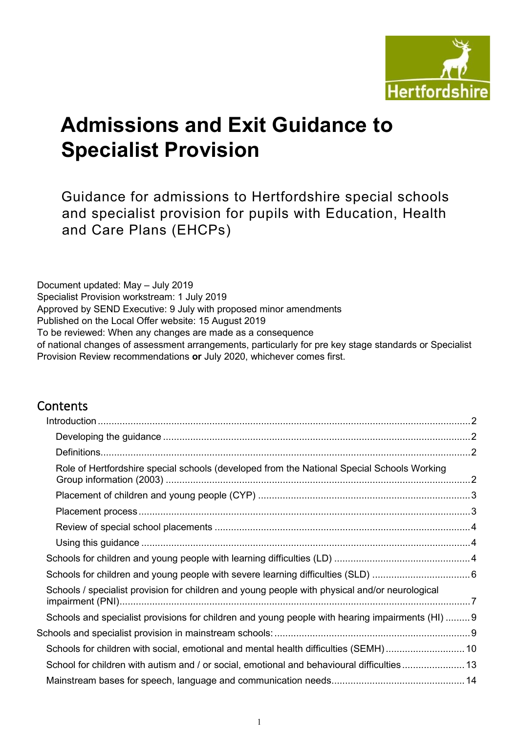

# **Admissions and Exit Guidance to Specialist Provision**

Guidance for admissions to Hertfordshire special schools and specialist provision for pupils with Education, Health and Care Plans (EHCPs)

Document updated: May – July 2019 Specialist Provision workstream: 1 July 2019 Approved by SEND Executive: 9 July with proposed minor amendments Published on the Local Offer website: 15 August 2019 To be reviewed: When any changes are made as a consequence of national changes of assessment arrangements, particularly for pre key stage standards or Specialist Provision Review recommendations **or** July 2020, whichever comes first.

## **Contents**

| Role of Hertfordshire special schools (developed from the National Special Schools Working       |  |
|--------------------------------------------------------------------------------------------------|--|
|                                                                                                  |  |
|                                                                                                  |  |
|                                                                                                  |  |
|                                                                                                  |  |
|                                                                                                  |  |
|                                                                                                  |  |
| Schools / specialist provision for children and young people with physical and/or neurological   |  |
| Schools and specialist provisions for children and young people with hearing impairments (HI)  9 |  |
|                                                                                                  |  |
| Schools for children with social, emotional and mental health difficulties (SEMH)10              |  |
| School for children with autism and / or social, emotional and behavioural difficulties 13       |  |
|                                                                                                  |  |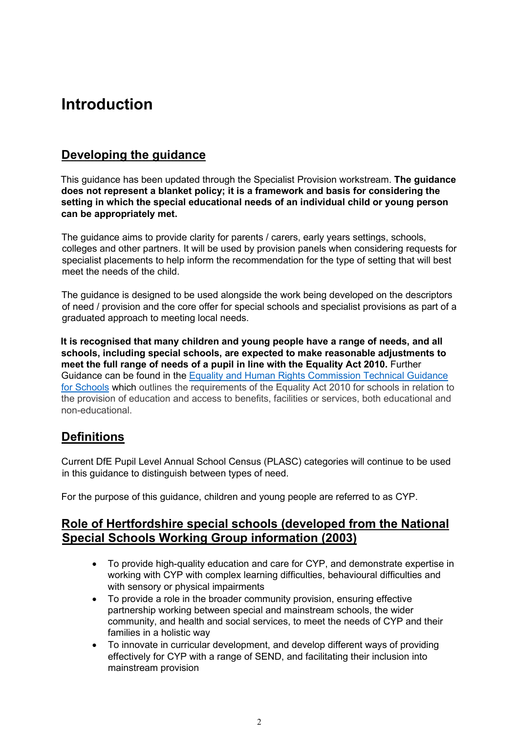## <span id="page-1-0"></span>**Introduction**

## <span id="page-1-1"></span>**Developing the guidance**

This guidance has been updated through the Specialist Provision workstream. **The guidance does not represent a blanket policy; it is a framework and basis for considering the setting in which the special educational needs of an individual child or young person can be appropriately met.**

The guidance aims to provide clarity for parents / carers, early years settings, schools, colleges and other partners. It will be used by provision panels when considering requests for specialist placements to help inform the recommendation for the type of setting that will best meet the needs of the child.

The guidance is designed to be used alongside the work being developed on the descriptors of need / provision and the core offer for special schools and specialist provisions as part of a graduated approach to meeting local needs.

**It is recognised that many children and young people have a range of needs, and all schools, including special schools, are expected to make reasonable adjustments to meet the full range of needs of a pupil in line with the Equality Act 2010.** Further Guidance can be found in the [Equality and Human Rights Commission Technical Guidance](https://www.equalityhumanrights.com/en/publication-download/technical-guidance-schools-england)  [for Schools](https://www.equalityhumanrights.com/en/publication-download/technical-guidance-schools-england) which outlines the requirements of the Equality Act 2010 for schools in relation to the provision of education and access to benefits, facilities or services, both educational and non-educational.

## <span id="page-1-2"></span>**Definitions**

Current DfE Pupil Level Annual School Census (PLASC) categories will continue to be used in this guidance to distinguish between types of need.

For the purpose of this guidance, children and young people are referred to as CYP.

### <span id="page-1-3"></span>**Role of Hertfordshire special schools (developed from the National Special Schools Working Group information (2003)**

- To provide high-quality education and care for CYP, and demonstrate expertise in working with CYP with complex learning difficulties, behavioural difficulties and with sensory or physical impairments
- To provide a role in the broader community provision, ensuring effective partnership working between special and mainstream schools, the wider community, and health and social services, to meet the needs of CYP and their families in a holistic way
- To innovate in curricular development, and develop different ways of providing effectively for CYP with a range of SEND, and facilitating their inclusion into mainstream provision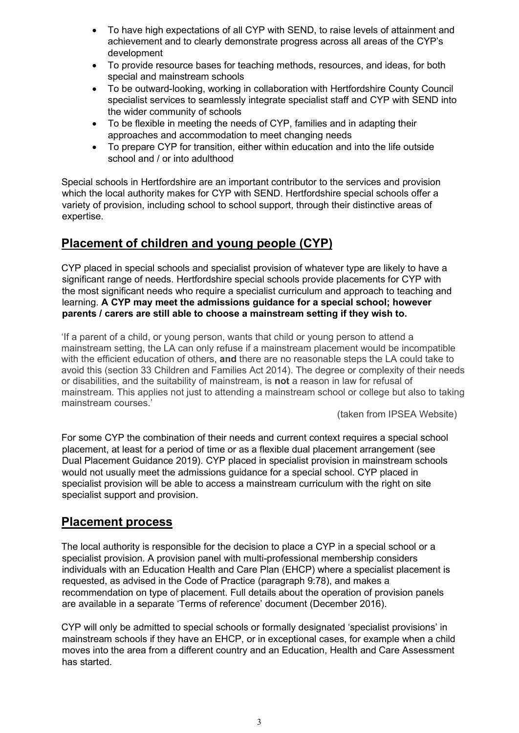- To have high expectations of all CYP with SEND, to raise levels of attainment and achievement and to clearly demonstrate progress across all areas of the CYP's development
- To provide resource bases for teaching methods, resources, and ideas, for both special and mainstream schools
- To be outward-looking, working in collaboration with Hertfordshire County Council specialist services to seamlessly integrate specialist staff and CYP with SEND into the wider community of schools
- To be flexible in meeting the needs of CYP, families and in adapting their approaches and accommodation to meet changing needs
- To prepare CYP for transition, either within education and into the life outside school and / or into adulthood

Special schools in Hertfordshire are an important contributor to the services and provision which the local authority makes for CYP with SEND. Hertfordshire special schools offer a variety of provision, including school to school support, through their distinctive areas of expertise.

## <span id="page-2-0"></span>**Placement of children and young people (CYP)**

CYP placed in special schools and specialist provision of whatever type are likely to have a significant range of needs. Hertfordshire special schools provide placements for CYP with the most significant needs who require a specialist curriculum and approach to teaching and learning. **A CYP may meet the admissions guidance for a special school; however parents / carers are still able to choose a mainstream setting if they wish to.**

'If a parent of a child, or young person, wants that child or young person to attend a mainstream setting, the LA can only refuse if a mainstream placement would be incompatible with the efficient education of others, **and** there are no reasonable steps the LA could take to avoid this (section 33 Children and Families Act 2014). The degree or complexity of their needs or disabilities, and the suitability of mainstream, is **not** a reason in law for refusal of mainstream. This applies not just to attending a mainstream school or college but also to taking mainstream courses.'

(taken from IPSEA Website)

For some CYP the combination of their needs and current context requires a special school placement, at least for a period of time or as a flexible dual placement arrangement (see Dual Placement Guidance 2019). CYP placed in specialist provision in mainstream schools would not usually meet the admissions guidance for a special school. CYP placed in specialist provision will be able to access a mainstream curriculum with the right on site specialist support and provision.

## <span id="page-2-1"></span>**Placement process**

The local authority is responsible for the decision to place a CYP in a special school or a specialist provision. A provision panel with multi-professional membership considers individuals with an Education Health and Care Plan (EHCP) where a specialist placement is requested, as advised in the Code of Practice (paragraph 9:78), and makes a recommendation on type of placement. Full details about the operation of provision panels are available in a separate 'Terms of reference' document (December 2016).

CYP will only be admitted to special schools or formally designated 'specialist provisions' in mainstream schools if they have an EHCP, or in exceptional cases, for example when a child moves into the area from a different country and an Education, Health and Care Assessment has started.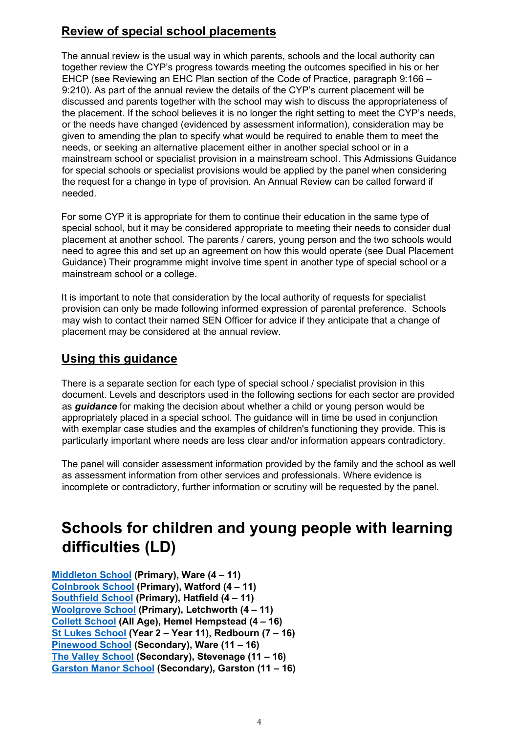## <span id="page-3-0"></span>**Review of special school placements**

The annual review is the usual way in which parents, schools and the local authority can together review the CYP's progress towards meeting the outcomes specified in his or her EHCP (see Reviewing an EHC Plan section of the Code of Practice, paragraph 9:166 – 9:210). As part of the annual review the details of the CYP's current placement will be discussed and parents together with the school may wish to discuss the appropriateness of the placement. If the school believes it is no longer the right setting to meet the CYP's needs, or the needs have changed (evidenced by assessment information), consideration may be given to amending the plan to specify what would be required to enable them to meet the needs, or seeking an alternative placement either in another special school or in a mainstream school or specialist provision in a mainstream school. This Admissions Guidance for special schools or specialist provisions would be applied by the panel when considering the request for a change in type of provision. An Annual Review can be called forward if needed.

For some CYP it is appropriate for them to continue their education in the same type of special school, but it may be considered appropriate to meeting their needs to consider dual placement at another school. The parents / carers, young person and the two schools would need to agree this and set up an agreement on how this would operate (see Dual Placement Guidance) Their programme might involve time spent in another type of special school or a mainstream school or a college.

It is important to note that consideration by the local authority of requests for specialist provision can only be made following informed expression of parental preference. Schools may wish to contact their named SEN Officer for advice if they anticipate that a change of placement may be considered at the annual review.

## <span id="page-3-1"></span>**Using this guidance**

There is a separate section for each type of special school / specialist provision in this document. Levels and descriptors used in the following sections for each sector are provided as *guidance* for making the decision about whether a child or young person would be appropriately placed in a special school. The guidance will in time be used in conjunction with exemplar case studies and the examples of children's functioning they provide. This is particularly important where needs are less clear and/or information appears contradictory.

The panel will consider assessment information provided by the family and the school as well as assessment information from other services and professionals. Where evidence is incomplete or contradictory, further information or scrutiny will be requested by the panel.

## <span id="page-3-2"></span>**Schools for children and young people with learning difficulties (LD)**

**[Middleton School](http://middleton.herts.sch.uk/) (Primary), Ware (4 – 11) [Colnbrook](https://www.colnbrook.herts.sch.uk/) [School](https://www.colnbrook.herts.sch.uk/) (Primary), Watford (4 – 11) [Southfield School](https://www.southfield.herts.sch.uk/) [\(](https://www.southfield.herts.sch.uk/)Primary), Hatfield (4 – 11) [Woolgrove School](http://woolgrove.herts.sch.uk/) (Primary), Letchworth (4 – 11) [Collett School](http://www.collett.herts.sch.uk/) [\(](http://www.collett.herts.sch.uk/)All Age), Hemel Hempstead (4 – 16) [St Lukes School](http://www.stlukes.herts.sch.uk/) (Year 2 – Year 11), Redbourn (7 – 16) [Pinewood School](https://www.pinewood.herts.sch.uk/) (Secondary), Ware (11 – 16) [The Valley School](https://thevalley.herts.sch.uk/) (Secondary), Stevenage (11 – 16) [Garston Manor School](https://www.garstonmanor.herts.sch.uk/) [\(](https://www.garstonmanor.herts.sch.uk/)Secondary), Garston (11 – 16)**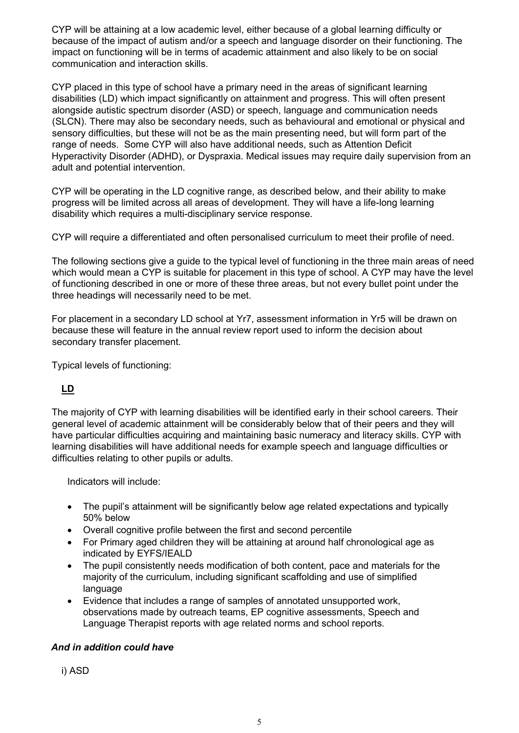CYP will be attaining at a low academic level, either because of a global learning difficulty or because of the impact of autism and/or a speech and language disorder on their functioning. The impact on functioning will be in terms of academic attainment and also likely to be on social communication and interaction skills.

CYP placed in this type of school have a primary need in the areas of significant learning disabilities (LD) which impact significantly on attainment and progress. This will often present alongside autistic spectrum disorder (ASD) or speech, language and communication needs (SLCN). There may also be secondary needs, such as behavioural and emotional or physical and sensory difficulties, but these will not be as the main presenting need, but will form part of the range of needs. Some CYP will also have additional needs, such as Attention Deficit Hyperactivity Disorder (ADHD), or Dyspraxia. Medical issues may require daily supervision from an adult and potential intervention.

CYP will be operating in the LD cognitive range, as described below, and their ability to make progress will be limited across all areas of development. They will have a life-long learning disability which requires a multi-disciplinary service response.

CYP will require a differentiated and often personalised curriculum to meet their profile of need.

The following sections give a guide to the typical level of functioning in the three main areas of need which would mean a CYP is suitable for placement in this type of school. A CYP may have the level of functioning described in one or more of these three areas, but not every bullet point under the three headings will necessarily need to be met.

For placement in a secondary LD school at Yr7, assessment information in Yr5 will be drawn on because these will feature in the annual review report used to inform the decision about secondary transfer placement.

Typical levels of functioning:

### **LD**

The majority of CYP with learning disabilities will be identified early in their school careers. Their general level of academic attainment will be considerably below that of their peers and they will have particular difficulties acquiring and maintaining basic numeracy and literacy skills. CYP with learning disabilities will have additional needs for example speech and language difficulties or difficulties relating to other pupils or adults.

Indicators will include:

- The pupil's attainment will be significantly below age related expectations and typically 50% below
- Overall cognitive profile between the first and second percentile
- For Primary aged children they will be attaining at around half chronological age as indicated by EYFS/IEALD
- The pupil consistently needs modification of both content, pace and materials for the majority of the curriculum, including significant scaffolding and use of simplified language
- Evidence that includes a range of samples of annotated unsupported work, observations made by outreach teams, EP cognitive assessments, Speech and Language Therapist reports with age related norms and school reports.

#### *And in addition could have*

i) ASD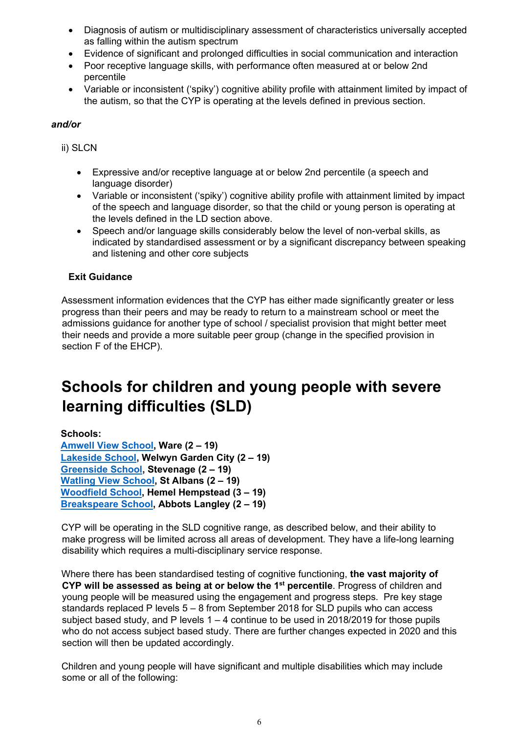- Diagnosis of autism or multidisciplinary assessment of characteristics universally accepted as falling within the autism spectrum
- Evidence of significant and prolonged difficulties in social communication and interaction
- Poor receptive language skills, with performance often measured at or below 2nd percentile
- Variable or inconsistent ('spiky') cognitive ability profile with attainment limited by impact of the autism, so that the CYP is operating at the levels defined in previous section.

#### *and/or*

ii) SLCN

- Expressive and/or receptive language at or below 2nd percentile (a speech and language disorder)
- Variable or inconsistent ('spiky') cognitive ability profile with attainment limited by impact of the speech and language disorder, so that the child or young person is operating at the levels defined in the LD section above.
- Speech and/or language skills considerably below the level of non-verbal skills, as indicated by standardised assessment or by a significant discrepancy between speaking and listening and other core subjects

#### **Exit Guidance**

Assessment information evidences that the CYP has either made significantly greater or less progress than their peers and may be ready to return to a mainstream school or meet the admissions guidance for another type of school / specialist provision that might better meet their needs and provide a more suitable peer group (change in the specified provision in section F of the EHCP).

## <span id="page-5-0"></span>**Schools for children and young people with severe learning difficulties (SLD)**

**Schools:** 

**[Amwell View School,](https://amwell.herts.sch.uk/) Ware (2 – 19) [Lakeside School,](http://www.lakeside.herts.sch.uk/) Welwyn Garden City (2 – 19) [Greenside School,](http://www.greenside.herts.sch.uk/) Stevenage (2 – 19) [Watling View School,](http://www.watlingview.herts.sch.uk/) St Albans (2 – 19) [Woodfield](https://woodfield.herts.sch.uk/) [School,](https://woodfield.herts.sch.uk/) Hemel Hempstead (3 – 19) [Breakspeare School,](https://www.breakspeare.herts.sch.uk/) Abbots Langley (2 – 19)** 

CYP will be operating in the SLD cognitive range, as described below, and their ability to make progress will be limited across all areas of development. They have a life-long learning disability which requires a multi-disciplinary service response.

Where there has been standardised testing of cognitive functioning, **the vast majority of CYP will be assessed as being at or below the 1st percentile**. Progress of children and young people will be measured using the engagement and progress steps. Pre key stage standards replaced P levels 5 – 8 from September 2018 for SLD pupils who can access subject based study, and P levels  $1 - 4$  continue to be used in 2018/2019 for those pupils who do not access subject based study. There are further changes expected in 2020 and this section will then be updated accordingly.

Children and young people will have significant and multiple disabilities which may include some or all of the following: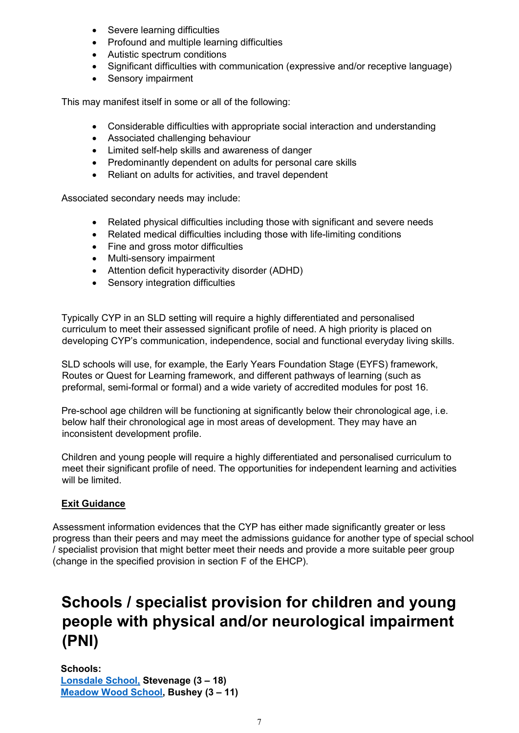- Severe learning difficulties
- Profound and multiple learning difficulties
- Autistic spectrum conditions
- Significant difficulties with communication (expressive and/or receptive language)
- Sensory impairment

This may manifest itself in some or all of the following:

- Considerable difficulties with appropriate social interaction and understanding
- Associated challenging behaviour
- Limited self-help skills and awareness of danger
- Predominantly dependent on adults for personal care skills
- Reliant on adults for activities, and travel dependent

Associated secondary needs may include:

- Related physical difficulties including those with significant and severe needs
- Related medical difficulties including those with life-limiting conditions
- Fine and gross motor difficulties
- Multi-sensory impairment
- Attention deficit hyperactivity disorder (ADHD)
- Sensory integration difficulties

Typically CYP in an SLD setting will require a highly differentiated and personalised curriculum to meet their assessed significant profile of need. A high priority is placed on developing CYP's communication, independence, social and functional everyday living skills.

SLD schools will use, for example, the Early Years Foundation Stage (EYFS) framework, Routes or Quest for Learning framework, and different pathways of learning (such as preformal, semi-formal or formal) and a wide variety of accredited modules for post 16.

Pre-school age children will be functioning at significantly below their chronological age, i.e. below half their chronological age in most areas of development. They may have an inconsistent development profile.

Children and young people will require a highly differentiated and personalised curriculum to meet their significant profile of need. The opportunities for independent learning and activities will be limited

#### **Exit Guidance**

Assessment information evidences that the CYP has either made significantly greater or less progress than their peers and may meet the admissions guidance for another type of special school / specialist provision that might better meet their needs and provide a more suitable peer group (change in the specified provision in section F of the EHCP).

## <span id="page-6-0"></span>**Schools / specialist provision for children and young people with physical and/or neurological impairment (PNI)**

**Schools: [Lonsdale School,](https://www.lonsdale.herts.sch.uk/) Stevenage (3 – 18) [Meadow Wood School,](https://www.meadowwood.herts.sch.uk/) Bushey (3 – 11)**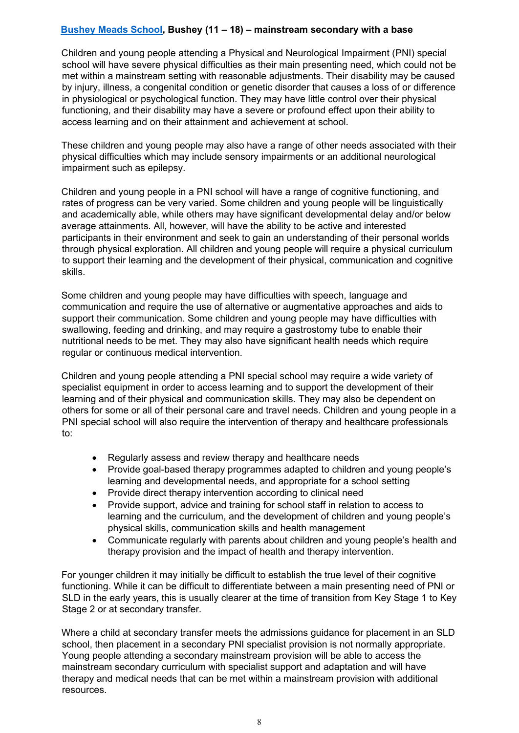#### **[Bushey Meads School,](https://busheymeads.org.uk/) Bushey (11 – 18) – mainstream secondary with a base**

Children and young people attending a Physical and Neurological Impairment (PNI) special school will have severe physical difficulties as their main presenting need, which could not be met within a mainstream setting with reasonable adjustments. Their disability may be caused by injury, illness, a congenital condition or genetic disorder that causes a loss of or difference in physiological or psychological function. They may have little control over their physical functioning, and their disability may have a severe or profound effect upon their ability to access learning and on their attainment and achievement at school.

These children and young people may also have a range of other needs associated with their physical difficulties which may include sensory impairments or an additional neurological impairment such as epilepsy.

Children and young people in a PNI school will have a range of cognitive functioning, and rates of progress can be very varied. Some children and young people will be linguistically and academically able, while others may have significant developmental delay and/or below average attainments. All, however, will have the ability to be active and interested participants in their environment and seek to gain an understanding of their personal worlds through physical exploration. All children and young people will require a physical curriculum to support their learning and the development of their physical, communication and cognitive skills.

Some children and young people may have difficulties with speech, language and communication and require the use of alternative or augmentative approaches and aids to support their communication. Some children and young people may have difficulties with swallowing, feeding and drinking, and may require a gastrostomy tube to enable their nutritional needs to be met. They may also have significant health needs which require regular or continuous medical intervention.

Children and young people attending a PNI special school may require a wide variety of specialist equipment in order to access learning and to support the development of their learning and of their physical and communication skills. They may also be dependent on others for some or all of their personal care and travel needs. Children and young people in a PNI special school will also require the intervention of therapy and healthcare professionals to:

- Regularly assess and review therapy and healthcare needs
- Provide goal-based therapy programmes adapted to children and young people's learning and developmental needs, and appropriate for a school setting
- Provide direct therapy intervention according to clinical need
- Provide support, advice and training for school staff in relation to access to learning and the curriculum, and the development of children and young people's physical skills, communication skills and health management
- Communicate regularly with parents about children and young people's health and therapy provision and the impact of health and therapy intervention.

For younger children it may initially be difficult to establish the true level of their cognitive functioning. While it can be difficult to differentiate between a main presenting need of PNI or SLD in the early years, this is usually clearer at the time of transition from Key Stage 1 to Key Stage 2 or at secondary transfer.

Where a child at secondary transfer meets the admissions guidance for placement in an SLD school, then placement in a secondary PNI specialist provision is not normally appropriate. Young people attending a secondary mainstream provision will be able to access the mainstream secondary curriculum with specialist support and adaptation and will have therapy and medical needs that can be met within a mainstream provision with additional resources.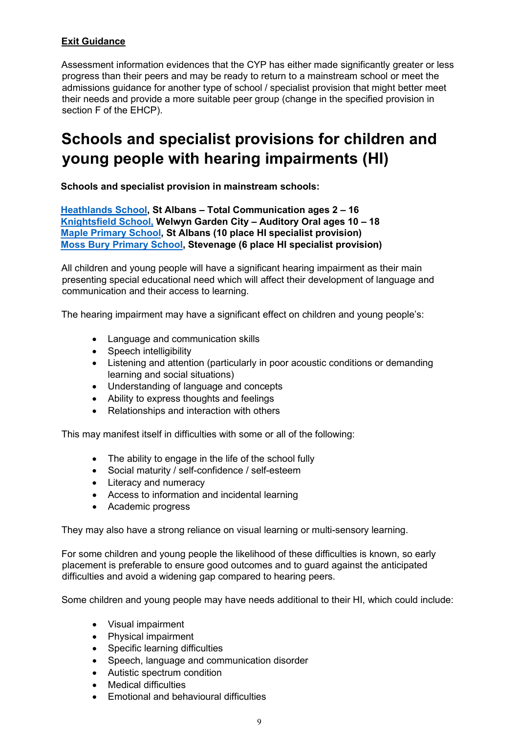#### **Exit Guidance**

Assessment information evidences that the CYP has either made significantly greater or less progress than their peers and may be ready to return to a mainstream school or meet the admissions guidance for another type of school / specialist provision that might better meet their needs and provide a more suitable peer group (change in the specified provision in section F of the EHCP).

## <span id="page-8-0"></span>**Schools and specialist provisions for children and young people with hearing impairments (HI)**

<span id="page-8-1"></span>**Schools and specialist provision in mainstream schools:** 

**[Heathlands School,](https://heathlands.herts.sch.uk/) St Albans – Total Communication ages 2 – 16 [Knightsfield School,](http://knightsfield.herts.sch.uk/) Welwyn Garden City – Auditory Oral ages 10 – 18 [Maple Primary School,](https://maple.herts.sch.uk/) St Albans (10 place HI specialist provision) [Moss Bury Primary School,](http://www.mossbury.herts.sch.uk/) Stevenage (6 place HI specialist provision)**

All children and young people will have a significant hearing impairment as their main presenting special educational need which will affect their development of language and communication and their access to learning.

The hearing impairment may have a significant effect on children and young people's:

- Language and communication skills
- Speech intelligibility
- Listening and attention (particularly in poor acoustic conditions or demanding learning and social situations)
- Understanding of language and concepts
- Ability to express thoughts and feelings
- Relationships and interaction with others

This may manifest itself in difficulties with some or all of the following:

- The ability to engage in the life of the school fully
- Social maturity / self-confidence / self-esteem
- Literacy and numeracy
- Access to information and incidental learning
- Academic progress

They may also have a strong reliance on visual learning or multi-sensory learning.

For some children and young people the likelihood of these difficulties is known, so early placement is preferable to ensure good outcomes and to guard against the anticipated difficulties and avoid a widening gap compared to hearing peers.

Some children and young people may have needs additional to their HI, which could include:

- Visual impairment
- Physical impairment
- Specific learning difficulties
- Speech, language and communication disorder
- Autistic spectrum condition
- Medical difficulties
- Emotional and behavioural difficulties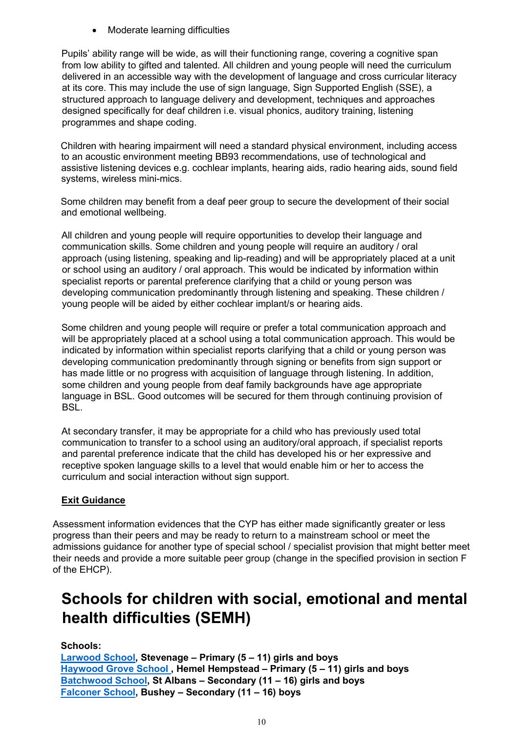• Moderate learning difficulties

Pupils' ability range will be wide, as will their functioning range, covering a cognitive span from low ability to gifted and talented. All children and young people will need the curriculum delivered in an accessible way with the development of language and cross curricular literacy at its core. This may include the use of sign language, Sign Supported English (SSE), a structured approach to language delivery and development, techniques and approaches designed specifically for deaf children i.e. visual phonics, auditory training, listening programmes and shape coding.

Children with hearing impairment will need a standard physical environment, including access to an acoustic environment meeting BB93 recommendations, use of technological and assistive listening devices e.g. cochlear implants, hearing aids, radio hearing aids, sound field systems, wireless mini-mics.

Some children may benefit from a deaf peer group to secure the development of their social and emotional wellbeing.

All children and young people will require opportunities to develop their language and communication skills. Some children and young people will require an auditory / oral approach (using listening, speaking and lip-reading) and will be appropriately placed at a unit or school using an auditory / oral approach. This would be indicated by information within specialist reports or parental preference clarifying that a child or young person was developing communication predominantly through listening and speaking. These children / young people will be aided by either cochlear implant/s or hearing aids.

Some children and young people will require or prefer a total communication approach and will be appropriately placed at a school using a total communication approach. This would be indicated by information within specialist reports clarifying that a child or young person was developing communication predominantly through signing or benefits from sign support or has made little or no progress with acquisition of language through listening. In addition, some children and young people from deaf family backgrounds have age appropriate language in BSL. Good outcomes will be secured for them through continuing provision of BSL.

At secondary transfer, it may be appropriate for a child who has previously used total communication to transfer to a school using an auditory/oral approach, if specialist reports and parental preference indicate that the child has developed his or her expressive and receptive spoken language skills to a level that would enable him or her to access the curriculum and social interaction without sign support.

### **Exit Guidance**

Assessment information evidences that the CYP has either made significantly greater or less progress than their peers and may be ready to return to a mainstream school or meet the admissions guidance for another type of special school / specialist provision that might better meet their needs and provide a more suitable peer group (change in the specified provision in section F of the EHCP).

## <span id="page-9-0"></span>**Schools for children with social, emotional and mental health difficulties (SEMH)**

**Schools:** 

**[Larwood School,](https://www.larwood.herts.sch.uk/) Stevenage – Primary (5 – 11) girls and boys [Haywood Grove School ,](http://www.haywoodgrove.co.uk/) Hemel Hempstead – Primary (5 – 11) girls and boys [Batchwood School,](https://www.batchwood.herts.sch.uk/) St Albans – Secondary (11 – 16) girls and boys [Falconer School,](http://falconer.herts.sch.uk/) Bushey – Secondary (11 – 16) boys**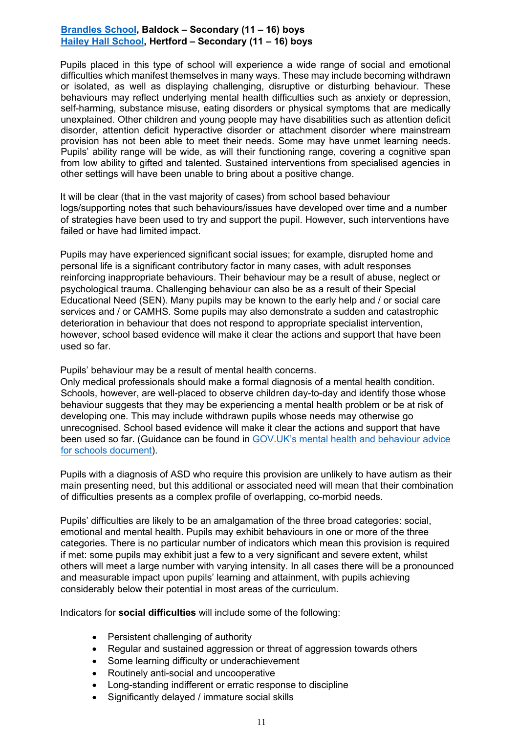#### **[Brandles School,](http://www.brandles.herts.sch.uk/) Baldock – Secondary (11 – 16) boys [Hailey Hall School,](https://www.haileyhall.herts.sch.uk/) Hertford – Secondary (11 – 16) boys**

Pupils placed in this type of school will experience a wide range of social and emotional difficulties which manifest themselves in many ways. These may include becoming withdrawn or isolated, as well as displaying challenging, disruptive or disturbing behaviour. These behaviours may reflect underlying mental health difficulties such as anxiety or depression, self-harming, substance misuse, eating disorders or physical symptoms that are medically unexplained. Other children and young people may have disabilities such as attention deficit disorder, attention deficit hyperactive disorder or attachment disorder where mainstream provision has not been able to meet their needs. Some may have unmet learning needs. Pupils' ability range will be wide, as will their functioning range, covering a cognitive span from low ability to gifted and talented. Sustained interventions from specialised agencies in other settings will have been unable to bring about a positive change.

It will be clear (that in the vast majority of cases) from school based behaviour logs/supporting notes that such behaviours/issues have developed over time and a number of strategies have been used to try and support the pupil. However, such interventions have failed or have had limited impact.

Pupils may have experienced significant social issues; for example, disrupted home and personal life is a significant contributory factor in many cases, with adult responses reinforcing inappropriate behaviours. Their behaviour may be a result of abuse, neglect or psychological trauma. Challenging behaviour can also be as a result of their Special Educational Need (SEN). Many pupils may be known to the early help and / or social care services and / or CAMHS. Some pupils may also demonstrate a sudden and catastrophic deterioration in behaviour that does not respond to appropriate specialist intervention, however, school based evidence will make it clear the actions and support that have been used so far.

Pupils' behaviour may be a result of mental health concerns.

Only medical professionals should make a formal diagnosis of a mental health condition. Schools, however, are well-placed to observe children day-to-day and identify those whose behaviour suggests that they may be experiencing a mental health problem or be at risk of developing one. This may include withdrawn pupils whose needs may otherwise go unrecognised. School based evidence will make it clear the actions and support that have been used so far. (Guidance can be found in [GOV.UK's mental health and behaviour advice](https://www.gov.uk/government/uploads/system/uploads/attachment_data/file/508847/Ment%20al_Health_and_Behaviour_-_advice_for_Schools_160316.pdf)  [for schools document\)](https://www.gov.uk/government/uploads/system/uploads/attachment_data/file/508847/Ment%20al_Health_and_Behaviour_-_advice_for_Schools_160316.pdf).

Pupils with a diagnosis of ASD who require this provision are unlikely to have autism as their main presenting need, but this additional or associated need will mean that their combination of difficulties presents as a complex profile of overlapping, co-morbid needs.

Pupils' difficulties are likely to be an amalgamation of the three broad categories: social, emotional and mental health. Pupils may exhibit behaviours in one or more of the three categories. There is no particular number of indicators which mean this provision is required if met: some pupils may exhibit just a few to a very significant and severe extent, whilst others will meet a large number with varying intensity. In all cases there will be a pronounced and measurable impact upon pupils' learning and attainment, with pupils achieving considerably below their potential in most areas of the curriculum.

Indicators for **social difficulties** will include some of the following:

- Persistent challenging of authority
- Regular and sustained aggression or threat of aggression towards others
- Some learning difficulty or underachievement
- Routinely anti-social and uncooperative
- Long-standing indifferent or erratic response to discipline
- Significantly delayed / immature social skills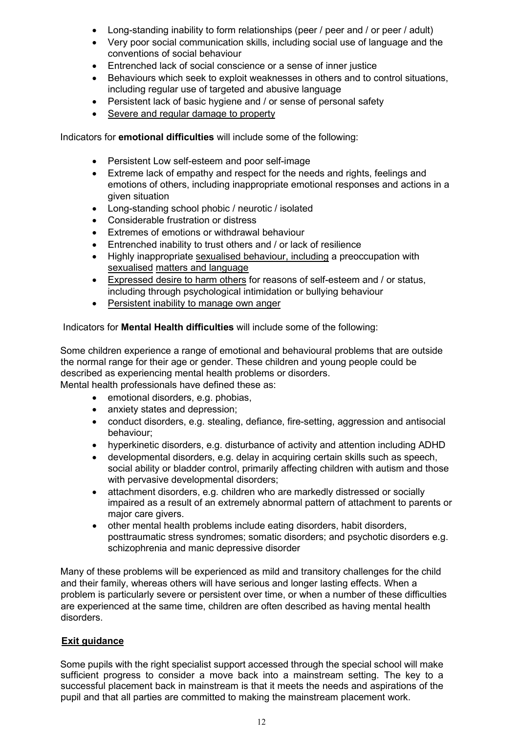- Long-standing inability to form relationships (peer / peer and / or peer / adult)
- Very poor social communication skills, including social use of language and the conventions of social behaviour
- Entrenched lack of social conscience or a sense of inner justice
- Behaviours which seek to exploit weaknesses in others and to control situations, including regular use of targeted and abusive language
- Persistent lack of basic hygiene and / or sense of personal safety
- Severe and regular damage to property

Indicators for **emotional difficulties** will include some of the following:

- Persistent Low self-esteem and poor self-image
- Extreme lack of empathy and respect for the needs and rights, feelings and emotions of others, including inappropriate emotional responses and actions in a given situation
- Long-standing school phobic / neurotic / isolated
- Considerable frustration or distress
- Extremes of emotions or withdrawal behaviour
- Entrenched inability to trust others and / or lack of resilience
- Highly inappropriate sexualised behaviour, including a preoccupation with sexualised matters and language
- Expressed desire to harm others for reasons of self-esteem and / or status, including through psychological intimidation or bullying behaviour
- Persistent inability to manage own anger

Indicators for **Mental Health difficulties** will include some of the following:

Some children experience a range of emotional and behavioural problems that are outside the normal range for their age or gender. These children and young people could be described as experiencing mental health problems or disorders.

Mental health professionals have defined these as:

- emotional disorders, e.g. phobias,
- anxiety states and depression;
- conduct disorders, e.g. stealing, defiance, fire-setting, aggression and antisocial behaviour;
- hyperkinetic disorders, e.g. disturbance of activity and attention including ADHD
- developmental disorders, e.g. delay in acquiring certain skills such as speech, social ability or bladder control, primarily affecting children with autism and those with pervasive developmental disorders;
- attachment disorders, e.g. children who are markedly distressed or socially impaired as a result of an extremely abnormal pattern of attachment to parents or major care givers.
- other mental health problems include eating disorders, habit disorders, posttraumatic stress syndromes; somatic disorders; and psychotic disorders e.g. schizophrenia and manic depressive disorder

Many of these problems will be experienced as mild and transitory challenges for the child and their family, whereas others will have serious and longer lasting effects. When a problem is particularly severe or persistent over time, or when a number of these difficulties are experienced at the same time, children are often described as having mental health disorders.

#### **Exit guidance**

Some pupils with the right specialist support accessed through the special school will make sufficient progress to consider a move back into a mainstream setting. The key to a successful placement back in mainstream is that it meets the needs and aspirations of the pupil and that all parties are committed to making the mainstream placement work.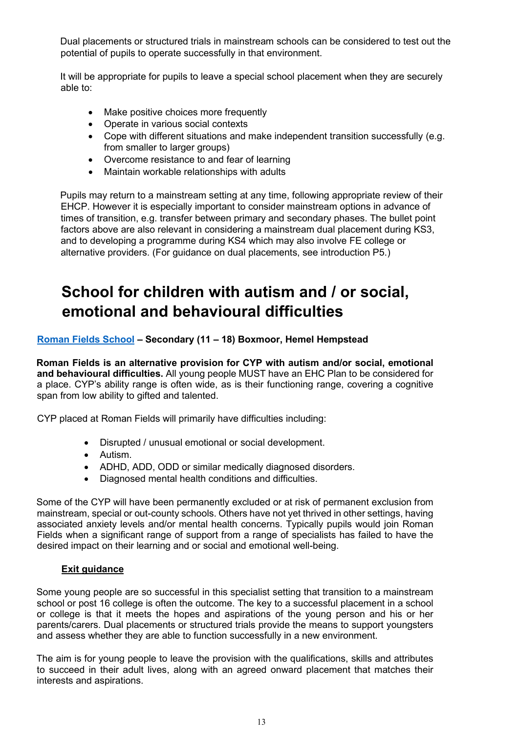Dual placements or structured trials in mainstream schools can be considered to test out the potential of pupils to operate successfully in that environment.

It will be appropriate for pupils to leave a special school placement when they are securely able to:

- Make positive choices more frequently
- Operate in various social contexts
- Cope with different situations and make independent transition successfully (e.g. from smaller to larger groups)
- Overcome resistance to and fear of learning
- Maintain workable relationships with adults

Pupils may return to a mainstream setting at any time, following appropriate review of their EHCP. However it is especially important to consider mainstream options in advance of times of transition, e.g. transfer between primary and secondary phases. The bullet point factors above are also relevant in considering a mainstream dual placement during KS3, and to developing a programme during KS4 which may also involve FE college or alternative providers. (For guidance on dual placements, see introduction P5.)

## <span id="page-12-0"></span>**School for children with autism and / or social, emotional and behavioural difficulties**

#### **[Roman Fields School](https://www.romanfields.herts.sch.uk/) – Secondary (11 – 18) Boxmoor, Hemel Hempstead**

**Roman Fields is an alternative provision for CYP with autism and/or social, emotional and behavioural difficulties.** All young people MUST have an EHC Plan to be considered for a place. CYP's ability range is often wide, as is their functioning range, covering a cognitive span from low ability to gifted and talented.

CYP placed at Roman Fields will primarily have difficulties including:

- Disrupted / unusual emotional or social development.
- Autism.
- ADHD, ADD, ODD or similar medically diagnosed disorders.
- Diagnosed mental health conditions and difficulties.

Some of the CYP will have been permanently excluded or at risk of permanent exclusion from mainstream, special or out-county schools. Others have not yet thrived in other settings, having associated anxiety levels and/or mental health concerns. Typically pupils would join Roman Fields when a significant range of support from a range of specialists has failed to have the desired impact on their learning and or social and emotional well-being.

#### **Exit guidance**

Some young people are so successful in this specialist setting that transition to a mainstream school or post 16 college is often the outcome. The key to a successful placement in a school or college is that it meets the hopes and aspirations of the young person and his or her parents/carers. Dual placements or structured trials provide the means to support youngsters and assess whether they are able to function successfully in a new environment.

The aim is for young people to leave the provision with the qualifications, skills and attributes to succeed in their adult lives, along with an agreed onward placement that matches their interests and aspirations.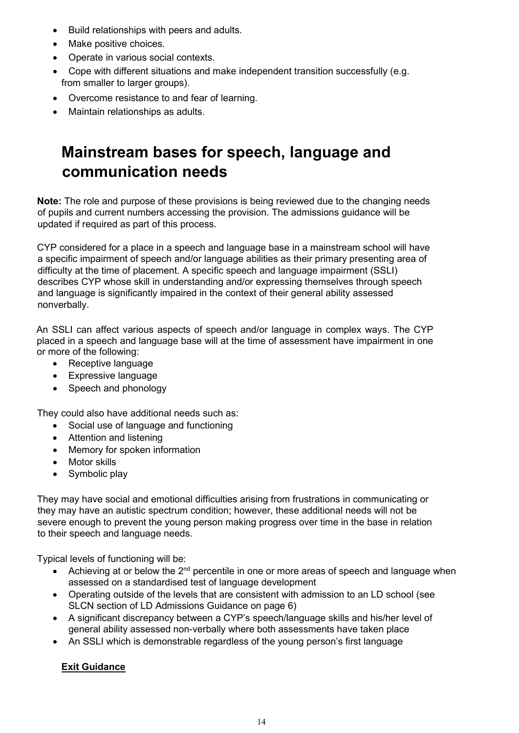- Build relationships with peers and adults.
- Make positive choices.
- Operate in various social contexts.
- Cope with different situations and make independent transition successfully (e.g. from smaller to larger groups).
- Overcome resistance to and fear of learning.
- Maintain relationships as adults.

## <span id="page-13-0"></span>**Mainstream bases for speech, language and communication needs**

**Note:** The role and purpose of these provisions is being reviewed due to the changing needs of pupils and current numbers accessing the provision. The admissions guidance will be updated if required as part of this process.

CYP considered for a place in a speech and language base in a mainstream school will have a specific impairment of speech and/or language abilities as their primary presenting area of difficulty at the time of placement. A specific speech and language impairment (SSLI) describes CYP whose skill in understanding and/or expressing themselves through speech and language is significantly impaired in the context of their general ability assessed nonverbally.

An SSLI can affect various aspects of speech and/or language in complex ways. The CYP placed in a speech and language base will at the time of assessment have impairment in one or more of the following:

- Receptive language
- Expressive language
- Speech and phonology

They could also have additional needs such as:

- Social use of language and functioning
- Attention and listening
- Memory for spoken information
- Motor skills
- Symbolic play

They may have social and emotional difficulties arising from frustrations in communicating or they may have an autistic spectrum condition; however, these additional needs will not be severe enough to prevent the young person making progress over time in the base in relation to their speech and language needs.

Typical levels of functioning will be:

- Achieving at or below the  $2^{nd}$  percentile in one or more areas of speech and language when assessed on a standardised test of language development
- Operating outside of the levels that are consistent with admission to an LD school (see SLCN section of LD Admissions Guidance on page 6)
- A significant discrepancy between a CYP's speech/language skills and his/her level of general ability assessed non-verbally where both assessments have taken place
- An SSLI which is demonstrable regardless of the young person's first language

### **Exit Guidance**